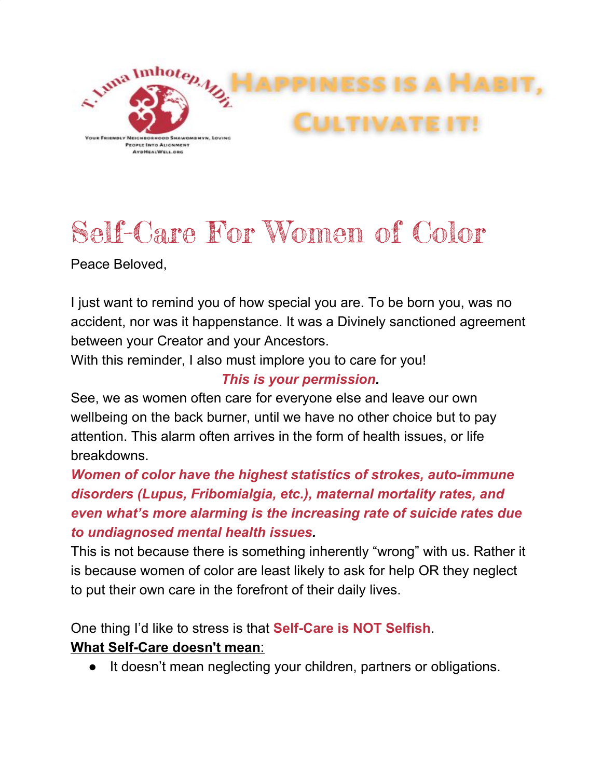

# Self-Care For Women of Color

Peace Beloved,

I just want to remind you of how special you are. To be born you, was no accident, nor was it happenstance. It was a Divinely sanctioned agreement between your Creator and your Ancestors.

With this reminder, I also must implore you to care for you!

## *This is your permission.*

See, we as women often care for everyone else and leave our own wellbeing on the back burner, until we have no other choice but to pay attention. This alarm often arrives in the form of health issues, or life breakdowns.

*Women of color have the highest statistics of strokes, auto-immune disorders (Lupus, Fribomialgia, etc.), maternal mortality rates, and even what's more alarming is the increasing rate of suicide rates due to undiagnosed mental health issues.*

This is not because there is something inherently "wrong" with us. Rather it is because women of color are least likely to ask for help OR they neglect to put their own care in the forefront of their daily lives.

One thing I'd like to stress is that **Self-Care is NOT Selfish**.

## **What Self-Care doesn't mean**:

It doesn't mean neglecting your children, partners or obligations.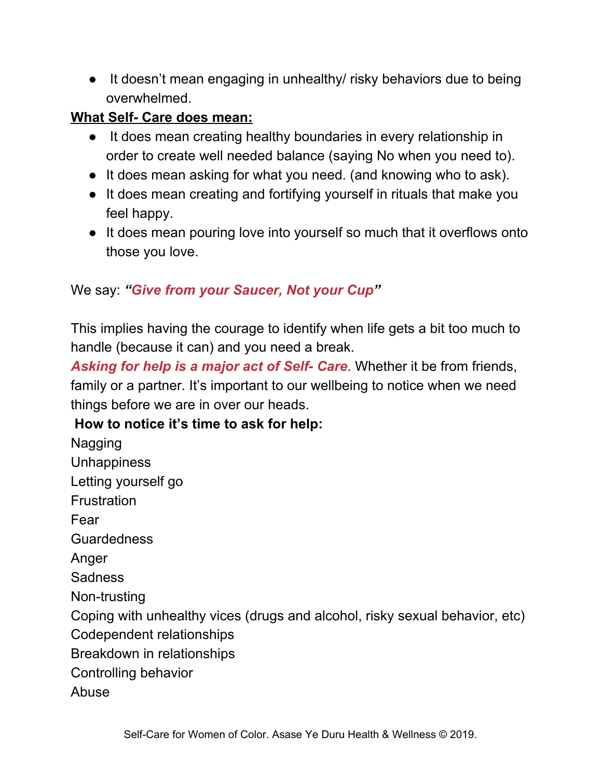• It doesn't mean engaging in unhealthy/ risky behaviors due to being overwhelmed.

## **What Self- Care does mean:**

- It does mean creating healthy boundaries in every relationship in order to create well needed balance (saying No when you need to).
- It does mean asking for what you need. (and knowing who to ask).
- It does mean creating and fortifying yourself in rituals that make you feel happy.
- It does mean pouring love into yourself so much that it overflows onto those you love.

### We say: *"Give from your Saucer, Not your Cup"*

This implies having the courage to identify when life gets a bit too much to handle (because it can) and you need a break.

*Asking for help is a major act of Self- Care*. Whether it be from friends, family or a partner. It's important to our wellbeing to notice when we need things before we are in over our heads.

#### **How to notice it's time to ask for help:**

Nagging **Unhappiness** Letting yourself go **Frustration** Fear **Guardedness** Anger **Sadness** Non-trusting Coping with unhealthy vices (drugs and alcohol, risky sexual behavior, etc) Codependent relationships Breakdown in relationships Controlling behavior Abuse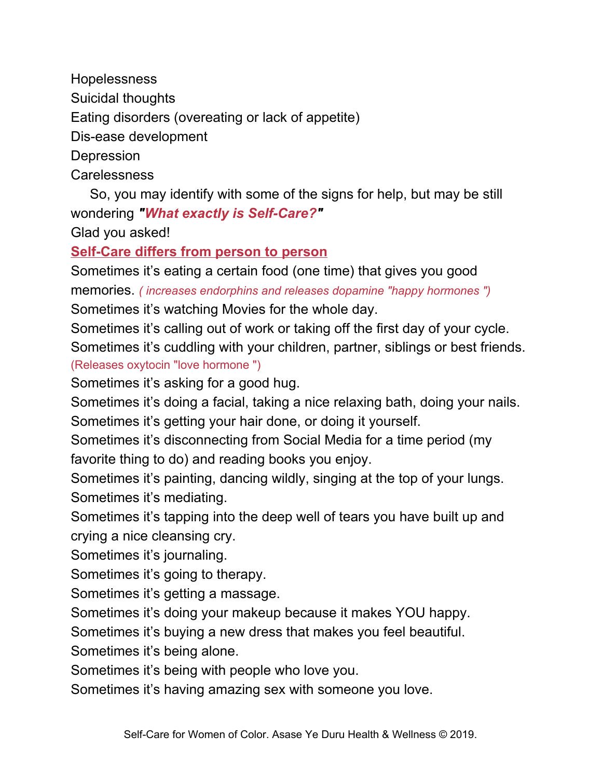Hopelessness

Suicidal thoughts

Eating disorders (overeating or lack of appetite)

Dis-ease development

**Depression** 

Carelessness

So, you may identify with some of the signs for help, but may be still wondering *"What exactly is Self-Care?"*

Glad you asked!

# **Self-Care differs from person to person**

Sometimes it's eating a certain food (one time) that gives you good memories. *( increases endorphins and releases dopamine "happy hormones ")*

Sometimes it's watching Movies for the whole day.

Sometimes it's calling out of work or taking off the first day of your cycle. Sometimes it's cuddling with your children, partner, siblings or best friends. (Releases oxytocin "love hormone ")

Sometimes it's asking for a good hug.

Sometimes it's doing a facial, taking a nice relaxing bath, doing your nails. Sometimes it's getting your hair done, or doing it yourself.

Sometimes it's disconnecting from Social Media for a time period (my favorite thing to do) and reading books you enjoy.

Sometimes it's painting, dancing wildly, singing at the top of your lungs. Sometimes it's mediating.

Sometimes it's tapping into the deep well of tears you have built up and crying a nice cleansing cry.

Sometimes it's journaling.

Sometimes it's going to therapy.

Sometimes it's getting a massage.

Sometimes it's doing your makeup because it makes YOU happy.

Sometimes it's buying a new dress that makes you feel beautiful.

Sometimes it's being alone.

Sometimes it's being with people who love you.

Sometimes it's having amazing sex with someone you love.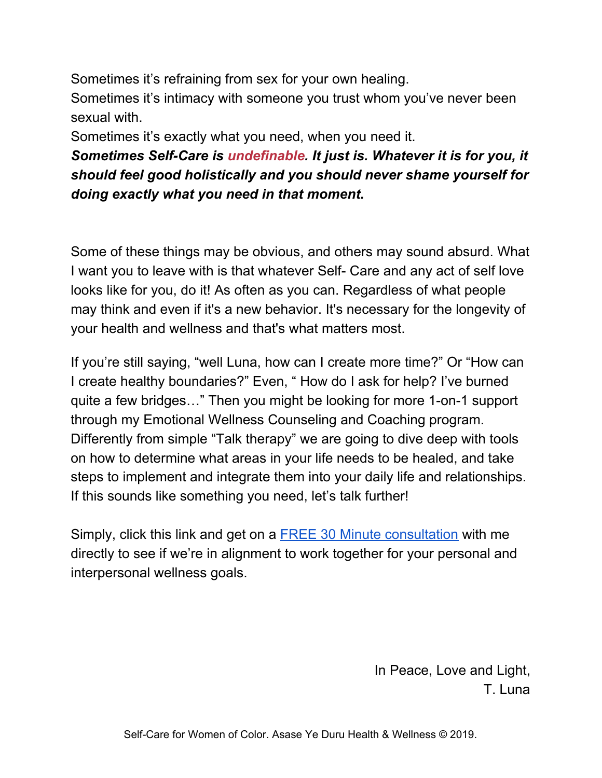Sometimes it's refraining from sex for your own healing.

Sometimes it's intimacy with someone you trust whom you've never been sexual with.

Sometimes it's exactly what you need, when you need it.

*Sometimes Self-Care is undefinable. It just is. Whatever it is for you, it should feel good holistically and you should never shame yourself for doing exactly what you need in that moment.*

Some of these things may be obvious, and others may sound absurd. What I want you to leave with is that whatever Self- Care and any act of self love looks like for you, do it! As often as you can. Regardless of what people may think and even if it's a new behavior. It's necessary for the longevity of your health and wellness and that's what matters most.

If you're still saying, "well Luna, how can I create more time?" Or "How can I create healthy boundaries?" Even, " How do I ask for help? I've burned quite a few bridges…" Then you might be looking for more 1-on-1 support through my Emotional Wellness Counseling and Coaching program. Differently from simple "Talk therapy" we are going to dive deep with tools on how to determine what areas in your life needs to be healed, and take steps to implement and integrate them into your daily life and relationships. If this sounds like something you need, let's talk further!

Simply, click this link and get on a FREE 30 Minute [consultation](https://asaseyeduruholisticwellnessllc.hbportal.co/schedule/603e4087a38f4e0022d7676f) with me directly to see if we're in alignment to work together for your personal and interpersonal wellness goals.

> In Peace, Love and Light, T. Luna